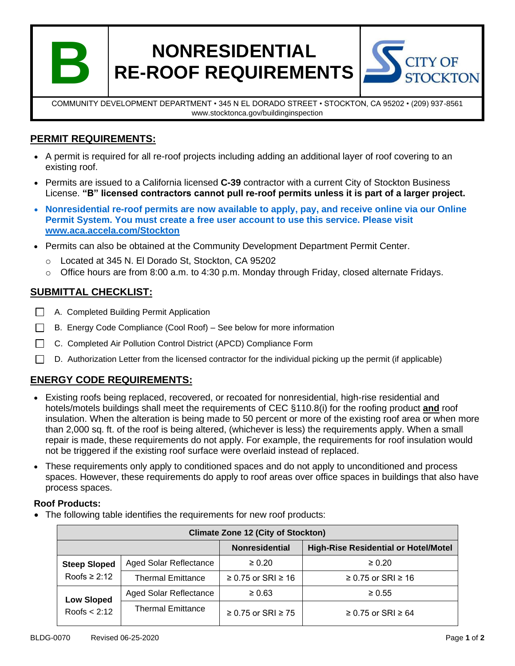

# **NONRESIDENTIAL RE-ROOF REQUIREMENTS**



COMMUNITY DEVELOPMENT DEPARTMENT • 345 N EL DORADO STREET • STOCKTON, CA 95202 • (209) 937-8561 www.stocktonca.gov/buildinginspection

## **PERMIT REQUIREMENTS:**

- A permit is required for all re-roof projects including adding an additional layer of roof covering to an existing roof.
- Permits are issued to a California licensed **C-39** contractor with a current City of Stockton Business License. **"B" licensed contractors cannot pull re-roof permits unless it is part of a larger project.**
- **Nonresidential re-roof permits are now available to apply, pay, and receive online via our Online Permit System. You must create a free user account to use this service. Please visit [www.aca.accela.com/Stockton](http://www.aca.accela.com/Stockton)**
- Permits can also be obtained at the Community Development Department Permit Center.
	- o Located at 345 N. El Dorado St, Stockton, CA 95202
	- $\circ$  Office hours are from 8:00 a.m. to 4:30 p.m. Monday through Friday, closed alternate Fridays.

## **SUBMITTAL CHECKLIST:**

- □ A. Completed Building Permit Application
- B. Energy Code Compliance (Cool Roof) See below for more information  $\Box$
- C. Completed Air Pollution Control District (APCD) Compliance Form П
- П D. Authorization Letter from the licensed contractor for the individual picking up the permit (if applicable)

## **ENERGY CODE REQUIREMENTS:**

- Existing roofs being replaced, recovered, or recoated for nonresidential, high-rise residential and hotels/motels buildings shall meet the requirements of CEC §110.8(i) for the roofing product **and** roof insulation. When the alteration is being made to 50 percent or more of the existing roof area or when more than 2,000 sq. ft. of the roof is being altered, (whichever is less) the requirements apply. When a small repair is made, these requirements do not apply. For example, the requirements for roof insulation would not be triggered if the existing roof surface were overlaid instead of replaced.
- These requirements only apply to conditioned spaces and do not apply to unconditioned and process spaces. However, these requirements do apply to roof areas over office spaces in buildings that also have process spaces.

#### **Roof Products:**

• The following table identifies the requirements for new roof products:

| <b>Climate Zone 12 (City of Stockton)</b> |                               |                              |                                             |
|-------------------------------------------|-------------------------------|------------------------------|---------------------------------------------|
|                                           |                               | <b>Nonresidential</b>        | <b>High-Rise Residential or Hotel/Motel</b> |
| <b>Steep Sloped</b><br>Roofs $\geq 2:12$  | <b>Aged Solar Reflectance</b> | $\geq 0.20$                  | $\geq 0.20$                                 |
|                                           | <b>Thermal Emittance</b>      | $≥ 0.75$ or SRI $≥ 16$       | $≥$ 0.75 or SRI $≥$ 16                      |
| <b>Low Sloped</b><br>Roofs $< 2:12$       | <b>Aged Solar Reflectance</b> | $\geq 0.63$                  | $\geq 0.55$                                 |
|                                           | <b>Thermal Emittance</b>      | $\geq$ 0.75 or SRI $\geq$ 75 | $≥$ 0.75 or SRI $≥$ 64                      |